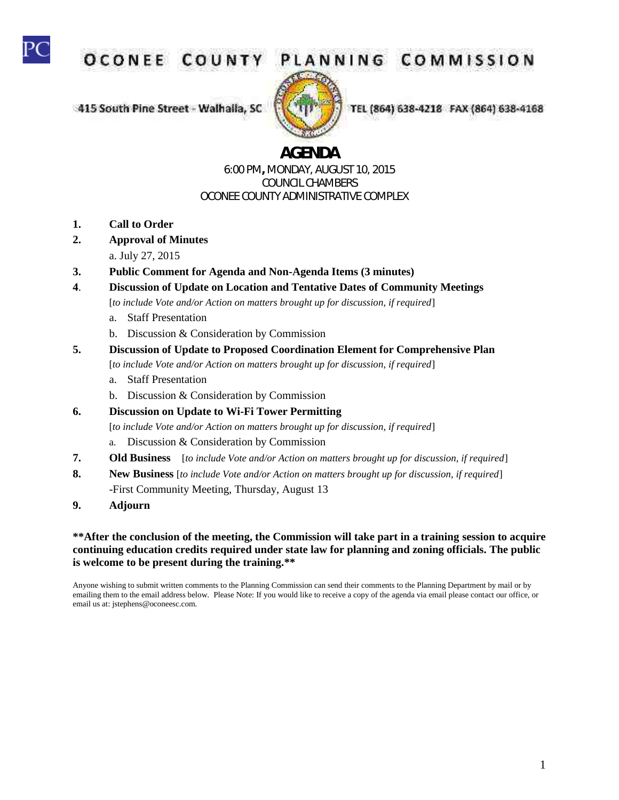

OCONEE COUNT

415 South Pine Street - Walhaila, SC



TEL (864) 638-4218 FAX (864) 638-4168

# **AGENDA**

#### 6:00 PM**,** MONDAY, AUGUST 10, 2015 COUNCIL CHAMBERS OCONEE COUNTY ADMINISTRATIVE COMPLEX

- **1. Call to Order**
- **2. Approval of Minutes** 
	- a. July 27, 2015
- **3. Public Comment for Agenda and Non-Agenda Items (3 minutes)**
- **4**. **Discussion of Update on Location and Tentative Dates of Community Meetings**

[*to include Vote and/or Action on matters brought up for discussion, if required*]

- a. Staff Presentation
- b. Discussion & Consideration by Commission
- **5. Discussion of Update to Proposed Coordination Element for Comprehensive Plan**
	- [*to include Vote and/or Action on matters brought up for discussion, if required*]
	- a. Staff Presentation
	- b. Discussion & Consideration by Commission
- **6. Discussion on Update to Wi-Fi Tower Permitting**

[*to include Vote and/or Action on matters brought up for discussion, if required*]

- a. Discussion & Consideration by Commission
- **7. Old Business** [*to include Vote and/or Action on matters brought up for discussion, if required*]
- **8. New Business** [*to include Vote and/or Action on matters brought up for discussion, if required*] -First Community Meeting, Thursday, August 13
- **9. Adjourn**

#### **\*\*After the conclusion of the meeting, the Commission will take part in a training session to acquire continuing education credits required under state law for planning and zoning officials. The public is welcome to be present during the training.\*\***

Anyone wishing to submit written comments to the Planning Commission can send their comments to the Planning Department by mail or by emailing them to the email address below. Please Note: If you would like to receive a copy of the agenda via email please contact our office, or email us at: jstephens@oconeesc.com.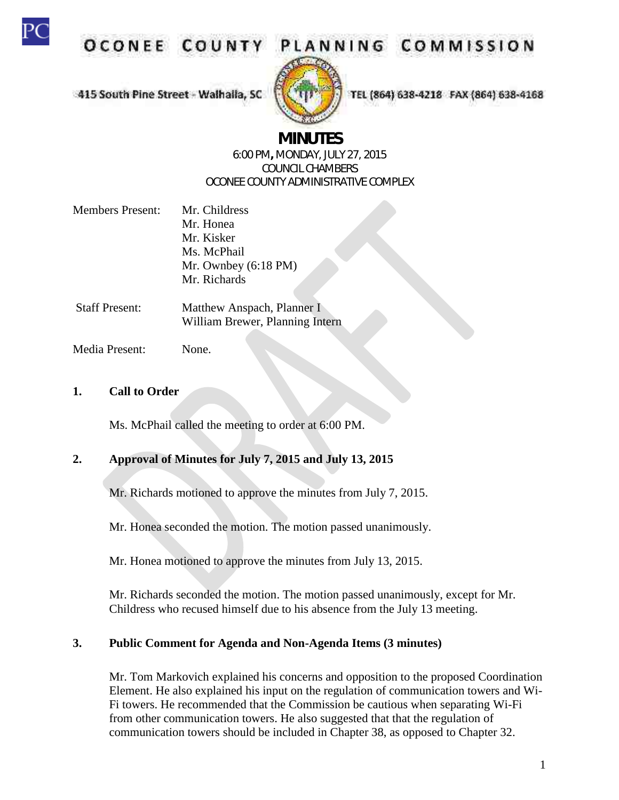

**OCONEE COUNT** 

# PLANNING COMMISSION

415 South Pine Street - Walhaila, SC



TEL (864) 638-4218 FAX (864) 638-4168

## **MINUTES**

#### 6:00 PM**,** MONDAY, JULY 27, 2015 COUNCIL CHAMBERS OCONEE COUNTY ADMINISTRATIVE COMPLEX

| <b>Members Present:</b> | Mr. Childress                  |
|-------------------------|--------------------------------|
|                         | Mr. Honea                      |
|                         | Mr. Kisker                     |
|                         | Ms. McPhail                    |
|                         | Mr. Ownbey $(6:18 \text{ PM})$ |
|                         | Mr. Richards                   |
|                         |                                |

Staff Present: Matthew Anspach, Planner I William Brewer, Planning Intern

Media Present: None.

#### **1. Call to Order**

Ms. McPhail called the meeting to order at 6:00 PM.

#### **2. Approval of Minutes for July 7, 2015 and July 13, 2015**

Mr. Richards motioned to approve the minutes from July 7, 2015.

Mr. Honea seconded the motion. The motion passed unanimously.

Mr. Honea motioned to approve the minutes from July 13, 2015.

Mr. Richards seconded the motion. The motion passed unanimously, except for Mr. Childress who recused himself due to his absence from the July 13 meeting.

#### **3. Public Comment for Agenda and Non-Agenda Items (3 minutes)**

Mr. Tom Markovich explained his concerns and opposition to the proposed Coordination Element. He also explained his input on the regulation of communication towers and Wi-Fi towers. He recommended that the Commission be cautious when separating Wi-Fi from other communication towers. He also suggested that that the regulation of communication towers should be included in Chapter 38, as opposed to Chapter 32.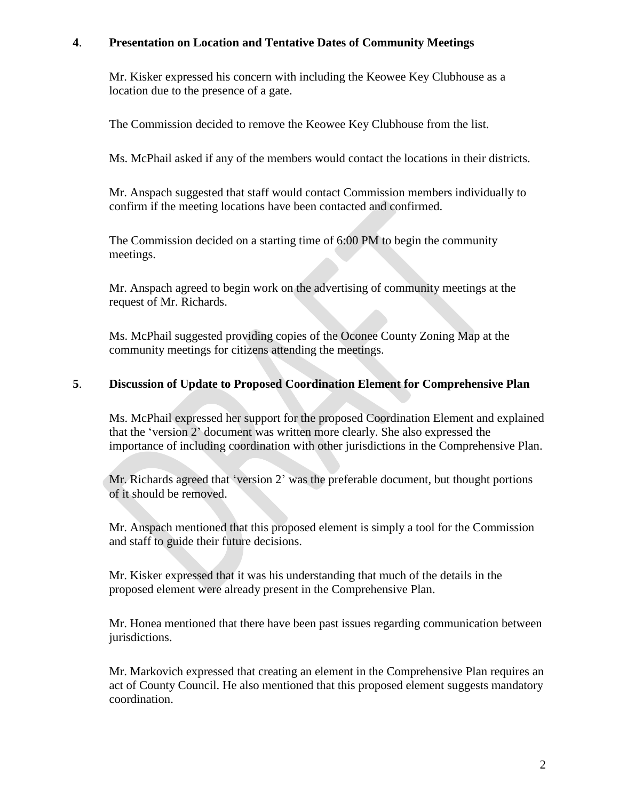#### **4**. **Presentation on Location and Tentative Dates of Community Meetings**

Mr. Kisker expressed his concern with including the Keowee Key Clubhouse as a location due to the presence of a gate.

The Commission decided to remove the Keowee Key Clubhouse from the list.

Ms. McPhail asked if any of the members would contact the locations in their districts.

Mr. Anspach suggested that staff would contact Commission members individually to confirm if the meeting locations have been contacted and confirmed.

The Commission decided on a starting time of 6:00 PM to begin the community meetings.

Mr. Anspach agreed to begin work on the advertising of community meetings at the request of Mr. Richards.

Ms. McPhail suggested providing copies of the Oconee County Zoning Map at the community meetings for citizens attending the meetings.

#### **5**. **Discussion of Update to Proposed Coordination Element for Comprehensive Plan**

Ms. McPhail expressed her support for the proposed Coordination Element and explained that the 'version 2' document was written more clearly. She also expressed the importance of including coordination with other jurisdictions in the Comprehensive Plan.

Mr. Richards agreed that 'version 2' was the preferable document, but thought portions of it should be removed.

Mr. Anspach mentioned that this proposed element is simply a tool for the Commission and staff to guide their future decisions.

Mr. Kisker expressed that it was his understanding that much of the details in the proposed element were already present in the Comprehensive Plan.

Mr. Honea mentioned that there have been past issues regarding communication between jurisdictions.

Mr. Markovich expressed that creating an element in the Comprehensive Plan requires an act of County Council. He also mentioned that this proposed element suggests mandatory coordination.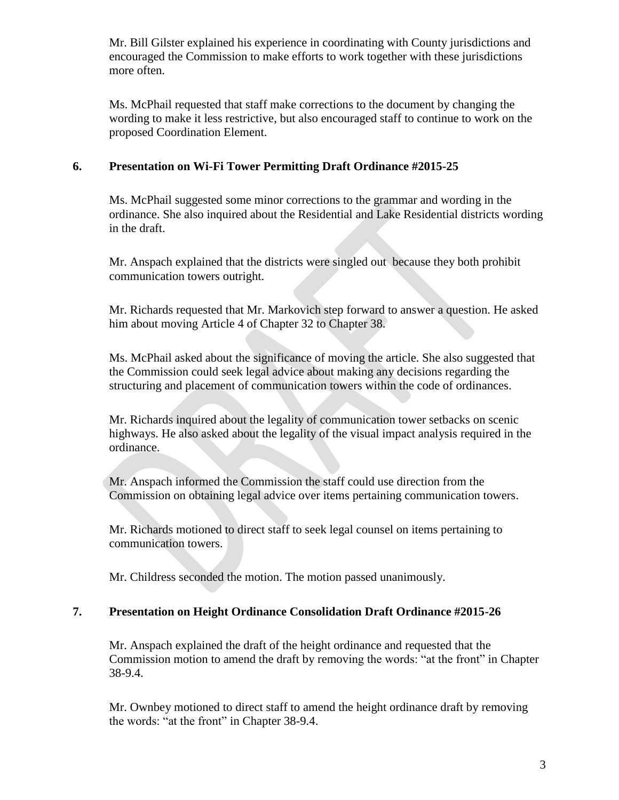Mr. Bill Gilster explained his experience in coordinating with County jurisdictions and encouraged the Commission to make efforts to work together with these jurisdictions more often.

Ms. McPhail requested that staff make corrections to the document by changing the wording to make it less restrictive, but also encouraged staff to continue to work on the proposed Coordination Element.

#### **6. Presentation on Wi-Fi Tower Permitting Draft Ordinance #2015-25**

Ms. McPhail suggested some minor corrections to the grammar and wording in the ordinance. She also inquired about the Residential and Lake Residential districts wording in the draft.

Mr. Anspach explained that the districts were singled out because they both prohibit communication towers outright.

Mr. Richards requested that Mr. Markovich step forward to answer a question. He asked him about moving Article 4 of Chapter 32 to Chapter 38.

Ms. McPhail asked about the significance of moving the article. She also suggested that the Commission could seek legal advice about making any decisions regarding the structuring and placement of communication towers within the code of ordinances.

Mr. Richards inquired about the legality of communication tower setbacks on scenic highways. He also asked about the legality of the visual impact analysis required in the ordinance.

Mr. Anspach informed the Commission the staff could use direction from the Commission on obtaining legal advice over items pertaining communication towers.

Mr. Richards motioned to direct staff to seek legal counsel on items pertaining to communication towers.

Mr. Childress seconded the motion. The motion passed unanimously.

#### **7. Presentation on Height Ordinance Consolidation Draft Ordinance #2015-26**

Mr. Anspach explained the draft of the height ordinance and requested that the Commission motion to amend the draft by removing the words: "at the front" in Chapter 38-9.4.

Mr. Ownbey motioned to direct staff to amend the height ordinance draft by removing the words: "at the front" in Chapter 38-9.4.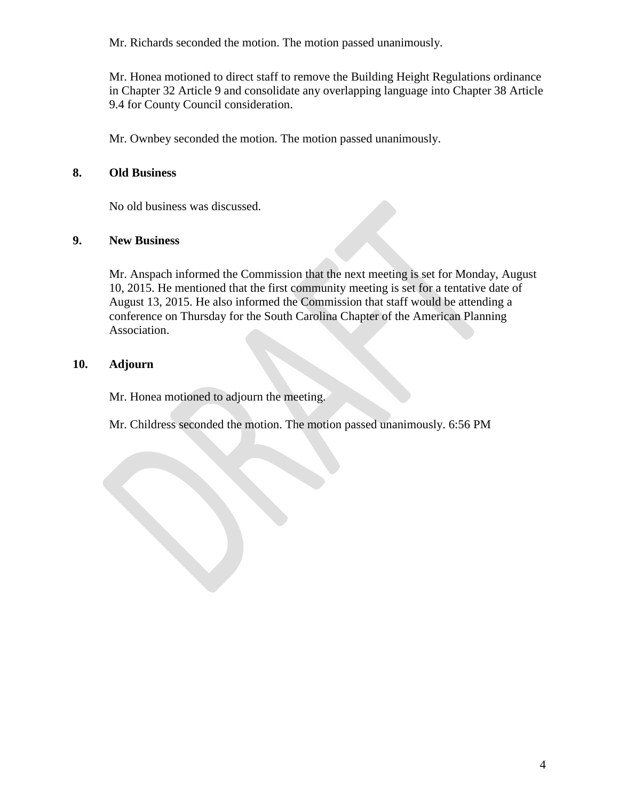Mr. Richards seconded the motion. The motion passed unanimously.

Mr. Honea motioned to direct staff to remove the Building Height Regulations ordinance in Chapter 32 Article 9 and consolidate any overlapping language into Chapter 38 Article 9.4 for County Council consideration.

Mr. Ownbey seconded the motion. The motion passed unanimously.

#### **8. Old Business**

No old business was discussed.

#### **9. New Business**

Mr. Anspach informed the Commission that the next meeting is set for Monday, August 10, 2015. He mentioned that the first community meeting is set for a tentative date of August 13, 2015. He also informed the Commission that staff would be attending a conference on Thursday for the South Carolina Chapter of the American Planning Association.

#### **10. Adjourn**

Mr. Honea motioned to adjourn the meeting.

Mr. Childress seconded the motion. The motion passed unanimously. 6:56 PM